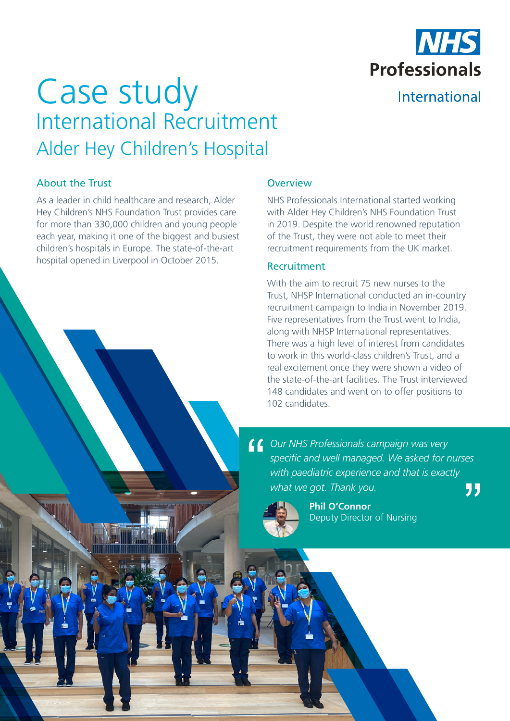

International

# Case study International Recruitment Alder Hey Children's Hospital

# About the Trust

As a leader in child healthcare and research, Alder Hey Children's NHS Foundation Trust provides care for more than 330,000 children and young people each year, making it one of the biggest and busiest children's hospitals in Europe. The state-of-the-art hospital opened in Liverpool in October 2015.

## **Overview**

NHS Professionals International started working with Alder Hey Children's NHS Foundation Trust in 2019. Despite the world renowned reputation of the Trust, they were not able to meet their recruitment requirements from the UK market.

## Recruitment

With the aim to recruit 75 new nurses to the Trust, NHSP International conducted an in-country recruitment campaign to India in November 2019. Five representatives from the Trust went to India, along with NHSP International representatives. There was a high level of interest from candidates to work in this world-class children's Trust, and a real excitement once they were shown a video of the state-of-the-art facilities. The Trust interviewed 148 candidates and went on to offer positions to 102 candidates.

*Our NHS Professionals campaign was very specific and well managed. We asked for nurses with paediatric experience and that is exactly what we got. Thank you.* "



**Phil O'Connor**  Deputy Director of Nursing